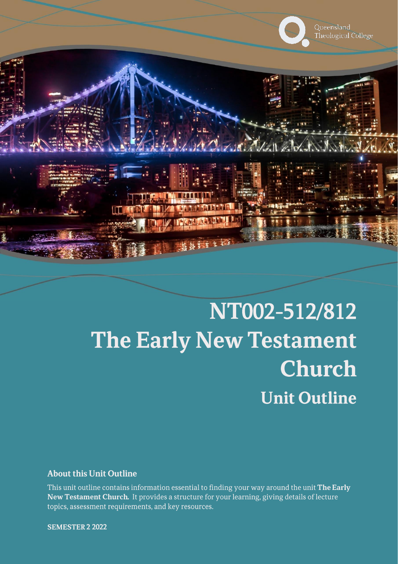

# NT002-512/812 The Early New Testament Church **Unit Outline**

#### **About this Unit Outline**

This unit outline contains information essential to finding your way around the unit The Early New Testament Church. It provides a structure for your learning, giving details of lecture topics, assessment requirements, and key resources.

**SEMESTER 2 2022**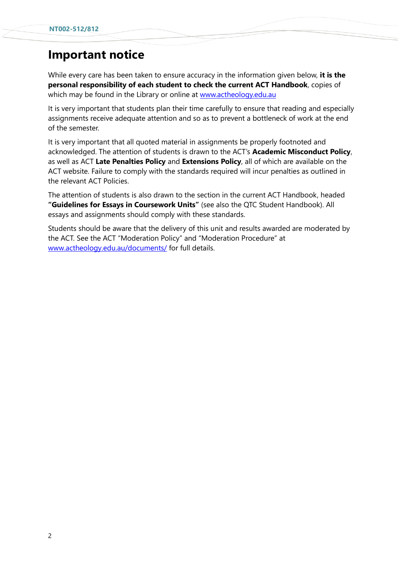# **Important notice**

While every care has been taken to ensure accuracy in the information given below, **it is the personal responsibility of each student to check the current ACT Handbook**, copies of which may be found in the Library or online at [www.actheology.edu.au](http://www.actheology.edu.au/)

It is very important that students plan their time carefully to ensure that reading and especially assignments receive adequate attention and so as to prevent a bottleneck of work at the end of the semester.

It is very important that all quoted material in assignments be properly footnoted and acknowledged. The attention of students is drawn to the ACT's **Academic Misconduct Policy**, as well as ACT **Late Penalties Policy** and **Extensions Policy**, all of which are available on the ACT website. Failure to comply with the standards required will incur penalties as outlined in the relevant ACT Policies.

The attention of students is also drawn to the section in the current ACT Handbook, headed **"Guidelines for Essays in Coursework Units"** (see also the QTC Student Handbook). All essays and assignments should comply with these standards.

Students should be aware that the delivery of this unit and results awarded are moderated by the ACT. See the ACT "Moderation Policy" and "Moderation Procedure" at [www.actheology.edu.au/documents/](http://www.actheology.edu.au/documents/) for full details.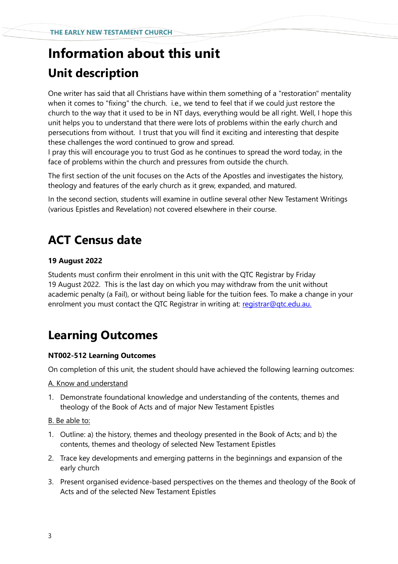# **Information about this unit Unit description**

One writer has said that all Christians have within them something of a "restoration" mentality when it comes to "fixing" the church. i.e., we tend to feel that if we could just restore the church to the way that it used to be in NT days, everything would be all right. Well, I hope this unit helps you to understand that there were lots of problems within the early church and persecutions from without. I trust that you will find it exciting and interesting that despite these challenges the word continued to grow and spread.

I pray this will encourage you to trust God as he continues to spread the word today, in the face of problems within the church and pressures from outside the church.

The first section of the unit focuses on the Acts of the Apostles and investigates the history, theology and features of the early church as it grew, expanded, and matured.

In the second section, students will examine in outline several other New Testament Writings (various Epistles and Revelation) not covered elsewhere in their course.

# **ACT Census date**

#### **19 August 2022**

Students must confirm their enrolment in this unit with the QTC Registrar by Friday 19 August 2022. This is the last day on which you may withdraw from the unit without academic penalty (a Fail), or without being liable for the tuition fees. To make a change in your enrolment you must contact the QTC Registrar in writing at: [registrar@qtc.edu.au.](mailto:registrar@qtc.edu.au)

# **Learning Outcomes**

#### **NT002-512 Learning Outcomes**

On completion of this unit, the student should have achieved the following learning outcomes:

A. Know and understand

1. [Demonstrate](https://www.actheology.edu.au/unit/NT002-512/#demonstrate) [foundational](https://www.actheology.edu.au/unit/NT002-512/#foundational) knowledge and understanding of the contents, themes and theology of the Book of Acts and of major New Testament Epistles

B. Be able to:

- 1. [Outline:](https://www.actheology.edu.au/unit/NT002-512/#outline) a) the history, themes and theology presented in the Book of Acts; and b) the contents, themes and theology of selected New Testament Epistles
- 2. [Trace](https://www.actheology.edu.au/unit/NT002-512/#trace) key developments and emerging patterns in the beginnings and expansion of the early church
- 3. Present [organised](https://www.actheology.edu.au/unit/NT002-512/#organised) evidence-based perspectives on the themes and theology of the Book of Acts and of the selected New Testament Epistles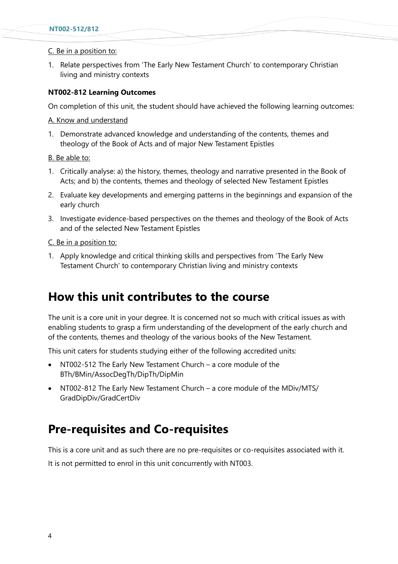#### C. Be in a position to:

1. Relate perspectives from 'The Early New Testament Church' to contemporary Christian living and ministry contexts

#### **NT002-812 Learning Outcomes**

On completion of this unit, the student should have achieved the following learning outcomes:

#### A. Know and understand

- 1. [Demonstrate](https://www.actheology.edu.au/unit/NT002-712/#demonstrate) [advanced](https://www.actheology.edu.au/unit/NT002-712/#functional) knowledge and understanding of the contents, themes and theology of the Book of Acts and of major New Testament Epistles
- B. Be able to:
- 1. Critically analyse: a) the history, themes, theology and narrative presented in the Book of Acts; and b) the contents, themes and theology of selected New Testament Epistles
- 2. Evaluate key developments and emerging patterns in the beginnings and expansion of the early church
- 3. Investigate evidence-based perspectives on the themes and theology of the Book of Acts and of the selected New Testament Epistles

#### C. Be in a position to:

1. Apply knowledge and critical thinking skills and perspectives from 'The Early New Testament Church' to contemporary Christian living and ministry contexts

### **How this unit contributes to the course**

The unit is a core unit in your degree. It is concerned not so much with critical issues as with enabling students to grasp a firm understanding of the development of the early church and of the contents, themes and theology of the various books of the New Testament.

This unit caters for students studying either of the following accredited units:

- NT002-512 The Early New Testament Church a core module of the BTh/BMin/AssocDegTh/DipTh/DipMin
- NT002-812 The Early New Testament Church a core module of the MDiv/MTS/ GradDipDiv/GradCertDiv

### **Pre-requisites and Co-requisites**

This is a core unit and as such there are no pre-requisites or co-requisites associated with it.

It is not permitted to enrol in this unit concurrently with NT003.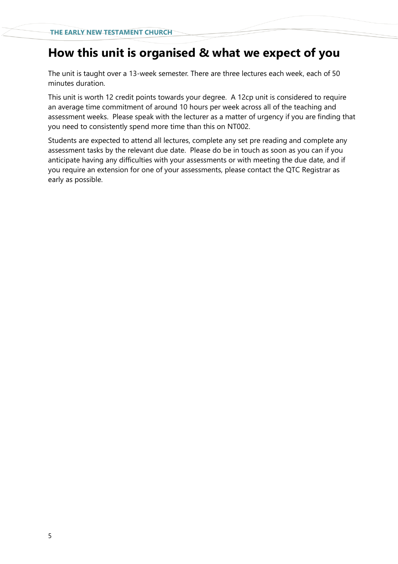## **How this unit is organised & what we expect of you**

The unit is taught over a 13-week semester. There are three lectures each week, each of 50 minutes duration.

This unit is worth 12 credit points towards your degree. A 12cp unit is considered to require an average time commitment of around 10 hours per week across all of the teaching and assessment weeks. Please speak with the lecturer as a matter of urgency if you are finding that you need to consistently spend more time than this on NT002.

Students are expected to attend all lectures, complete any set pre reading and complete any assessment tasks by the relevant due date. Please do be in touch as soon as you can if you anticipate having any difficulties with your assessments or with meeting the due date, and if you require an extension for one of your assessments, please contact the QTC Registrar as early as possible.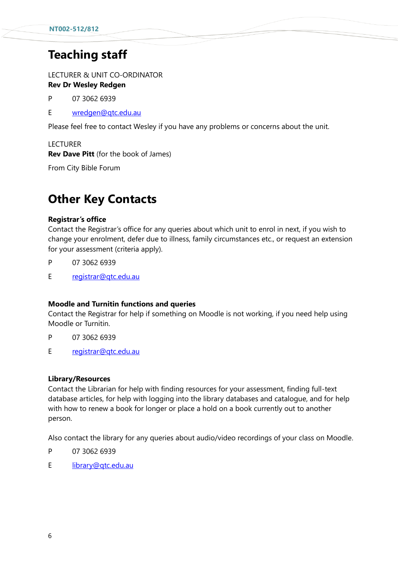# **Teaching staff**

LECTURER & UNIT CO-ORDINATOR **Rev Dr Wesley Redgen**

P 07 3062 6939

E [wredgen@qtc.edu.au](mailto:wredgen@qtc.edu.au)

Please feel free to contact Wesley if you have any problems or concerns about the unit.

LECTURER

**Rev Dave Pitt** (for the book of James)

From City Bible Forum

# **Other Key Contacts**

#### **Registrar's office**

Contact the Registrar's office for any queries about which unit to enrol in next, if you wish to change your enrolment, defer due to illness, family circumstances etc., or request an extension for your assessment (criteria apply).

- P 07 3062 6939
- E [registrar@qtc.edu.au](mailto:registrar@qtc.edu.au)

#### **Moodle and Turnitin functions and queries**

Contact the Registrar for help if something on Moodle is not working, if you need help using Moodle or Turnitin.

- P 07 3062 6939
- E [registrar@qtc.edu.au](mailto:registrar@qtc.edu.au)

#### **Library/Resources**

Contact the Librarian for help with finding resources for your assessment, finding full-text database articles, for help with logging into the library databases and catalogue, and for help with how to renew a book for longer or place a hold on a book currently out to another person.

Also contact the library for any queries about audio/video recordings of your class on Moodle.

- P 07 3062 6939
- E [library@qtc.edu.au](mailto:library@qtc.edu.au)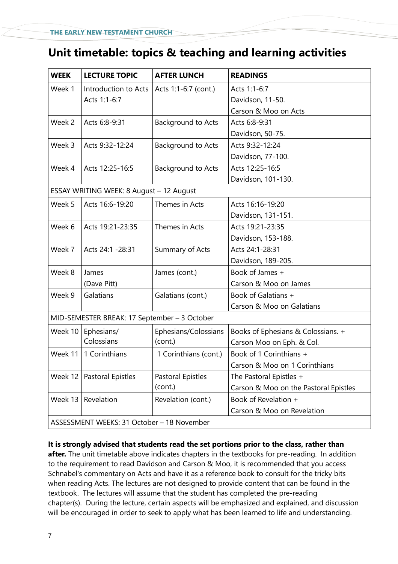### **Unit timetable: topics & teaching and learning activities**

| <b>WEEK</b> | <b>LECTURE TOPIC</b>                         | <b>AFTER LUNCH</b>           | <b>READINGS</b>                       |
|-------------|----------------------------------------------|------------------------------|---------------------------------------|
| Week 1      | Introduction to Acts                         | Acts 1:1-6:7 (cont.)         | Acts 1:1-6:7                          |
|             | Acts 1:1-6:7                                 |                              | Davidson, 11-50.                      |
|             |                                              |                              | Carson & Moo on Acts                  |
| Week 2      | Acts 6:8-9:31                                | Background to Acts           | Acts 6:8-9:31                         |
|             |                                              |                              | Davidson, 50-75.                      |
| Week 3      | Acts 9:32-12:24                              | Background to Acts           | Acts 9:32-12:24                       |
|             |                                              |                              | Davidson, 77-100.                     |
| Week 4      | Acts 12:25-16:5                              | Background to Acts           | Acts 12:25-16:5                       |
|             |                                              |                              | Davidson, 101-130.                    |
|             | ESSAY WRITING WEEK: 8 August - 12 August     |                              |                                       |
| Week 5      | Acts 16:6-19:20                              | Themes in Acts               | Acts 16:16-19:20                      |
|             |                                              |                              | Davidson, 131-151.                    |
| Week 6      | Acts 19:21-23:35                             | Themes in Acts               | Acts 19:21-23:35                      |
|             |                                              |                              | Davidson, 153-188.                    |
| Week 7      | Acts 24:1 -28:31                             | Summary of Acts              | Acts 24:1-28:31                       |
|             |                                              |                              | Davidson, 189-205.                    |
| Week 8      | James                                        | James (cont.)                | Book of James +                       |
|             | (Dave Pitt)                                  |                              | Carson & Moo on James                 |
| Week 9      | Galatians                                    | Galatians (cont.)            | Book of Galatians +                   |
|             |                                              |                              | Carson & Moo on Galatians             |
|             | MID-SEMESTER BREAK: 17 September - 3 October |                              |                                       |
|             | Week 10   Ephesians/                         | Ephesians/Colossians         | Books of Ephesians & Colossians. +    |
|             | Colossians                                   | (cont.)                      | Carson Moo on Eph. & Col.             |
| Week 11     | 1 Corinthians                                | 1 Corinthians (cont.)        | Book of 1 Corinthians +               |
|             |                                              |                              | Carson & Moo on 1 Corinthians         |
| Week 12     | <b>Pastoral Epistles</b>                     | Pastoral Epistles<br>(cont.) | The Pastoral Epistles +               |
|             |                                              |                              | Carson & Moo on the Pastoral Epistles |
| Week 13     | Revelation                                   | Revelation (cont.)           | Book of Revelation +                  |
|             |                                              |                              | Carson & Moo on Revelation            |

**It is strongly advised that students read the set portions prior to the class, rather than after.** The unit timetable above indicates chapters in the textbooks for pre-reading. In addition to the requirement to read Davidson and Carson & Moo, it is recommended that you access Schnabel's commentary on Acts and have it as a reference book to consult for the tricky bits when reading Acts. The lectures are not designed to provide content that can be found in the textbook. The lectures will assume that the student has completed the pre-reading chapter(s). During the lecture, certain aspects will be emphasized and explained, and discussion will be encouraged in order to seek to apply what has been learned to life and understanding.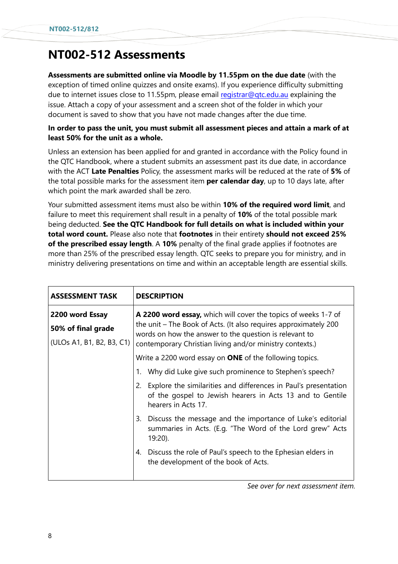# **NT002-512 Assessments**

**Assessments are submitted online via Moodle by 11.55pm on the due date** (with the exception of timed online quizzes and onsite exams). If you experience difficulty submitting due to internet issues close to 11.55pm, please email registrar@gtc.edu.au explaining the issue. Attach a copy of your assessment and a screen shot of the folder in which your document is saved to show that you have not made changes after the due time.

#### **In order to pass the unit, you must submit all assessment pieces and attain a mark of at least 50% for the unit as a whole.**

Unless an extension has been applied for and granted in accordance with the Policy found in the QTC Handbook, where a student submits an assessment past its due date, in accordance with the ACT **Late Penalties** Policy, the assessment marks will be reduced at the rate of **5%** of the total possible marks for the assessment item **per calendar day**, up to 10 days late, after which point the mark awarded shall be zero.

Your submitted assessment items must also be within **10% of the required word limit**, and failure to meet this requirement shall result in a penalty of **10%** of the total possible mark being deducted. **See the QTC Handbook for full details on what is included within your total word count.** Please also note that **footnotes** in their entirety **should not exceed 25% of the prescribed essay length**. A **10%** penalty of the final grade applies if footnotes are more than 25% of the prescribed essay length. QTC seeks to prepare you for ministry, and in ministry delivering presentations on time and within an acceptable length are essential skills.

| <b>ASSESSMENT TASK</b>    | <b>DESCRIPTION</b>                                                                                                                                        |  |  |
|---------------------------|-----------------------------------------------------------------------------------------------------------------------------------------------------------|--|--|
| 2200 word Essay           | A 2200 word essay, which will cover the topics of weeks 1-7 of                                                                                            |  |  |
| 50% of final grade        | the unit – The Book of Acts. (It also requires approximately 200<br>words on how the answer to the question is relevant to                                |  |  |
| (ULOs A1, B1, B2, B3, C1) | contemporary Christian living and/or ministry contexts.)                                                                                                  |  |  |
|                           | Write a 2200 word essay on ONE of the following topics.                                                                                                   |  |  |
|                           | Why did Luke give such prominence to Stephen's speech?<br>1.                                                                                              |  |  |
|                           | Explore the similarities and differences in Paul's presentation<br>2.<br>of the gospel to Jewish hearers in Acts 13 and to Gentile<br>hearers in Acts 17. |  |  |
|                           | Discuss the message and the importance of Luke's editorial<br>3.<br>summaries in Acts. (E.g. "The Word of the Lord grew" Acts<br>$19:20$ ).               |  |  |
|                           | Discuss the role of Paul's speech to the Ephesian elders in<br>4.<br>the development of the book of Acts.                                                 |  |  |

*See over for next assessment item.*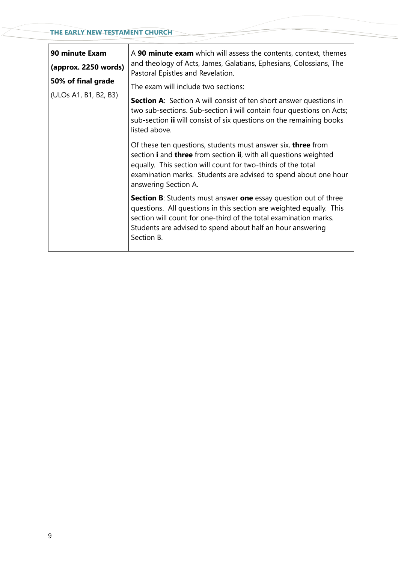| <b>90 minute Exam</b><br>(approx. 2250 words) | A 90 minute exam which will assess the contents, context, themes<br>and theology of Acts, James, Galatians, Ephesians, Colossians, The<br>Pastoral Epistles and Revelation.                                                                                                                          |
|-----------------------------------------------|------------------------------------------------------------------------------------------------------------------------------------------------------------------------------------------------------------------------------------------------------------------------------------------------------|
| 50% of final grade                            | The exam will include two sections:                                                                                                                                                                                                                                                                  |
| (ULOs A1, B1, B2, B3)                         | <b>Section A:</b> Section A will consist of ten short answer questions in<br>two sub-sections. Sub-section i will contain four questions on Acts;<br>sub-section ii will consist of six questions on the remaining books<br>listed above.                                                            |
|                                               | Of these ten questions, students must answer six, <b>three</b> from<br>section i and three from section ii, with all questions weighted<br>equally. This section will count for two-thirds of the total<br>examination marks. Students are advised to spend about one hour<br>answering Section A.   |
|                                               | <b>Section B:</b> Students must answer <b>one</b> essay question out of three<br>questions. All questions in this section are weighted equally. This<br>section will count for one-third of the total examination marks.<br>Students are advised to spend about half an hour answering<br>Section B. |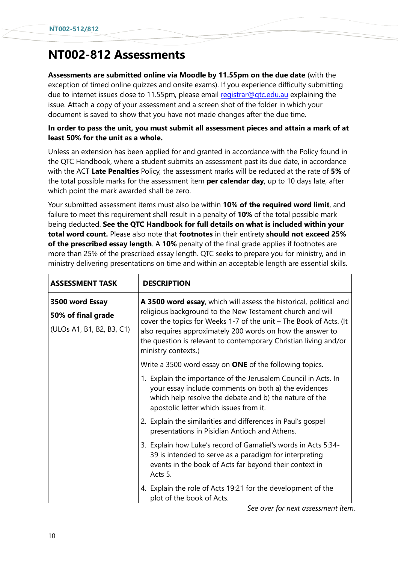# **NT002-812 Assessments**

**Assessments are submitted online via Moodle by 11.55pm on the due date** (with the exception of timed online quizzes and onsite exams). If you experience difficulty submitting due to internet issues close to 11.55pm, please email registrar@gtc.edu.au explaining the issue. Attach a copy of your assessment and a screen shot of the folder in which your document is saved to show that you have not made changes after the due time.

#### **In order to pass the unit, you must submit all assessment pieces and attain a mark of at least 50% for the unit as a whole.**

Unless an extension has been applied for and granted in accordance with the Policy found in the QTC Handbook, where a student submits an assessment past its due date, in accordance with the ACT **Late Penalties** Policy, the assessment marks will be reduced at the rate of **5%** of the total possible marks for the assessment item **per calendar day**, up to 10 days late, after which point the mark awarded shall be zero.

Your submitted assessment items must also be within **10% of the required word limit**, and failure to meet this requirement shall result in a penalty of **10%** of the total possible mark being deducted. **See the QTC Handbook for full details on what is included within your total word count.** Please also note that **footnotes** in their entirety **should not exceed 25% of the prescribed essay length**. A **10%** penalty of the final grade applies if footnotes are more than 25% of the prescribed essay length. QTC seeks to prepare you for ministry, and in ministry delivering presentations on time and within an acceptable length are essential skills.

| <b>ASSESSMENT TASK</b>                                             | <b>DESCRIPTION</b>                                                                                                                                                                                                                                                                                                                                             |  |
|--------------------------------------------------------------------|----------------------------------------------------------------------------------------------------------------------------------------------------------------------------------------------------------------------------------------------------------------------------------------------------------------------------------------------------------------|--|
| 3500 word Essay<br>50% of final grade<br>(ULOs A1, B1, B2, B3, C1) | A 3500 word essay, which will assess the historical, political and<br>religious background to the New Testament church and will<br>cover the topics for Weeks 1-7 of the unit - The Book of Acts. (It<br>also requires approximately 200 words on how the answer to<br>the question is relevant to contemporary Christian living and/or<br>ministry contexts.) |  |
|                                                                    | Write a 3500 word essay on <b>ONE</b> of the following topics.                                                                                                                                                                                                                                                                                                 |  |
|                                                                    | 1. Explain the importance of the Jerusalem Council in Acts. In<br>your essay include comments on both a) the evidences<br>which help resolve the debate and b) the nature of the<br>apostolic letter which issues from it.                                                                                                                                     |  |
|                                                                    | 2. Explain the similarities and differences in Paul's gospel<br>presentations in Pisidian Antioch and Athens.                                                                                                                                                                                                                                                  |  |
|                                                                    | 3. Explain how Luke's record of Gamaliel's words in Acts 5:34-<br>39 is intended to serve as a paradigm for interpreting<br>events in the book of Acts far beyond their context in<br>Acts 5.                                                                                                                                                                  |  |
|                                                                    | 4. Explain the role of Acts 19:21 for the development of the<br>plot of the book of Acts.                                                                                                                                                                                                                                                                      |  |

*See over for next assessment item.*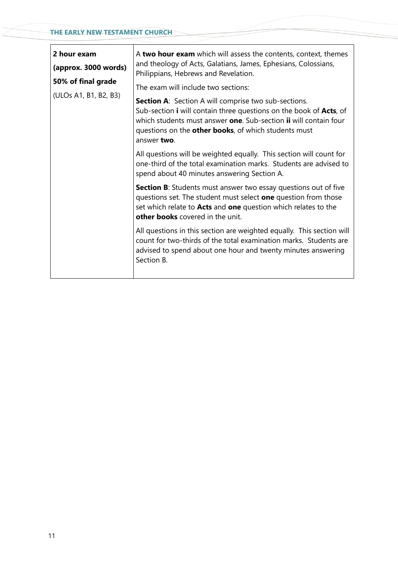| 2 hour exam<br>(approx. 3000 words)<br>50% of final grade | A two hour exam which will assess the contents, context, themes<br>and theology of Acts, Galatians, James, Ephesians, Colossians,<br>Philippians, Hebrews and Revelation.<br>The exam will include two sections:                                                                     |  |
|-----------------------------------------------------------|--------------------------------------------------------------------------------------------------------------------------------------------------------------------------------------------------------------------------------------------------------------------------------------|--|
| (ULOs A1, B1, B2, B3)                                     | <b>Section A:</b> Section A will comprise two sub-sections.<br>Sub-section i will contain three questions on the book of Acts, of<br>which students must answer one. Sub-section ii will contain four<br>questions on the <b>other books</b> , of which students must<br>answer two. |  |
|                                                           | All questions will be weighted equally. This section will count for<br>one-third of the total examination marks. Students are advised to<br>spend about 40 minutes answering Section A.                                                                                              |  |
|                                                           | <b>Section B:</b> Students must answer two essay questions out of five<br>questions set. The student must select <b>one</b> question from those<br>set which relate to Acts and one question which relates to the<br>other books covered in the unit.                                |  |
|                                                           | All questions in this section are weighted equally. This section will<br>count for two-thirds of the total examination marks. Students are<br>advised to spend about one hour and twenty minutes answering<br>Section B.                                                             |  |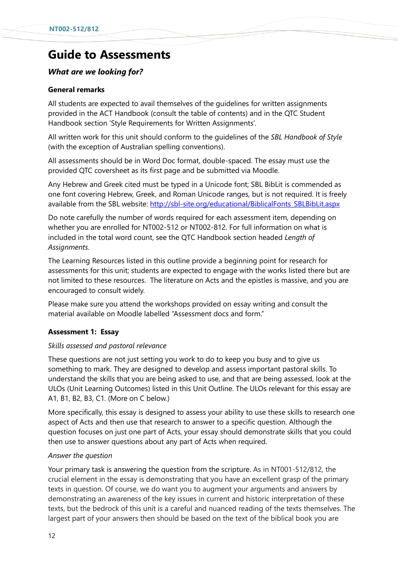# **Guide to Assessments**

#### *What are we looking for?*

#### **General remarks**

All students are expected to avail themselves of the guidelines for written assignments provided in the ACT Handbook (consult the table of contents) and in the QTC Student Handbook section 'Style Requirements for Written Assignments'.

All written work for this unit should conform to the guidelines of the *SBL Handbook of Style*  (with the exception of Australian spelling conventions).

All assessments should be in Word Doc format, double-spaced. The essay must use the provided QTC coversheet as its first page and be submitted via Moodle.

Any Hebrew and Greek cited must be typed in a Unicode font; SBL BibLit is commended as one font covering Hebrew, Greek, and Roman Unicode ranges, but is not required. It is freely available from the SBL website: [http://sbl-site.org/educational/BiblicalFonts\\_SBLBibLit.aspx](http://sbl-site.org/educational/BiblicalFonts_SBLBibLit.aspx)

Do note carefully the number of words required for each assessment item, depending on whether you are enrolled for NT002-512 or NT002-812. For full information on what is included in the total word count, see the QTC Handbook section headed *Length of Assignments*.

The Learning Resources listed in this outline provide a beginning point for research for assessments for this unit; students are expected to engage with the works listed there but are not limited to these resources. The literature on Acts and the epistles is massive, and you are encouraged to consult widely.

Please make sure you attend the workshops provided on essay writing and consult the material available on Moodle labelled "Assessment docs and form."

#### **Assessment 1: Essay**

#### *Skills assessed and pastoral relevance*

These questions are not just setting you work to do to keep you busy and to give us something to mark. They are designed to develop and assess important pastoral skills. To understand the skills that you are being asked to use, and that are being assessed, look at the ULOs (Unit Learning Outcomes) listed in this Unit Outline. The ULOs relevant for this essay are A1, B1, B2, B3, C1. (More on C below.)

More specifically, this essay is designed to assess your ability to use these skills to research one aspect of Acts and then use that research to answer to a specific question. Although the question focuses on just one part of Acts, your essay should demonstrate skills that you could then use to answer questions about any part of Acts when required.

#### *Answer the question*

Your primary task is answering the question from the scripture. As in NT001-512/812, the crucial element in the essay is demonstrating that you have an excellent grasp of the primary texts in question. Of course, we do want you to augment your arguments and answers by demonstrating an awareness of the key issues in current and historic interpretation of these texts, but the bedrock of this unit is a careful and nuanced reading of the texts themselves. The largest part of your answers then should be based on the text of the biblical book you are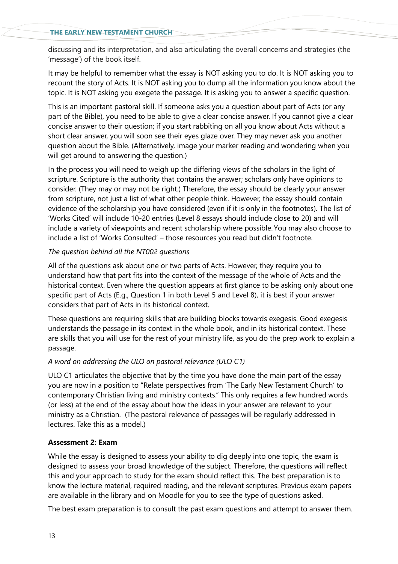discussing and its interpretation, and also articulating the overall concerns and strategies (the 'message') of the book itself.

It may be helpful to remember what the essay is NOT asking you to do. It is NOT asking you to recount the story of Acts. It is NOT asking you to dump all the information you know about the topic. It is NOT asking you exegete the passage. It is asking you to answer a specific question.

This is an important pastoral skill. If someone asks you a question about part of Acts (or any part of the Bible), you need to be able to give a clear concise answer. If you cannot give a clear concise answer to their question; if you start rabbiting on all you know about Acts without a short clear answer, you will soon see their eyes glaze over. They may never ask you another question about the Bible. (Alternatively, image your marker reading and wondering when you will get around to answering the question.)

In the process you will need to weigh up the differing views of the scholars in the light of scripture. Scripture is the authority that contains the answer; scholars only have opinions to consider. (They may or may not be right.) Therefore, the essay should be clearly your answer from scripture, not just a list of what other people think. However, the essay should contain evidence of the scholarship you have considered (even if it is only in the footnotes). The list of 'Works Cited' will include 10-20 entries (Level 8 essays should include close to 20) and will include a variety of viewpoints and recent scholarship where possible. You may also choose to include a list of 'Works Consulted' – those resources you read but didn't footnote.

#### *The question behind all the NT002 questions*

All of the questions ask about one or two parts of Acts. However, they require you to understand how that part fits into the context of the message of the whole of Acts and the historical context. Even where the question appears at first glance to be asking only about one specific part of Acts (E.g., Question 1 in both Level 5 and Level 8), it is best if your answer considers that part of Acts in its historical context.

These questions are requiring skills that are building blocks towards exegesis. Good exegesis understands the passage in its context in the whole book, and in its historical context. These are skills that you will use for the rest of your ministry life, as you do the prep work to explain a passage.

#### *A word on addressing the ULO on pastoral relevance (ULO C1)*

ULO C1 articulates the objective that by the time you have done the main part of the essay you are now in a position to "Relate perspectives from 'The Early New Testament Church' to contemporary Christian living and ministry contexts." This only requires a few hundred words (or less) at the end of the essay about how the ideas in your answer are relevant to your ministry as a Christian. (The pastoral relevance of passages will be regularly addressed in lectures. Take this as a model.)

#### **Assessment 2: Exam**

While the essay is designed to assess your ability to dig deeply into one topic, the exam is designed to assess your broad knowledge of the subject. Therefore, the questions will reflect this and your approach to study for the exam should reflect this. The best preparation is to know the lecture material, required reading, and the relevant scriptures. Previous exam papers are available in the library and on Moodle for you to see the type of questions asked.

The best exam preparation is to consult the past exam questions and attempt to answer them.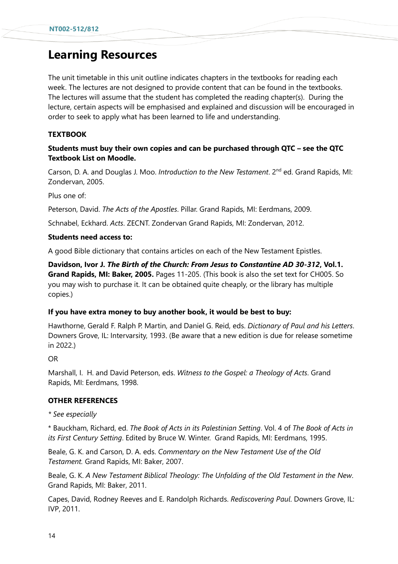## **Learning Resources**

The unit timetable in this unit outline indicates chapters in the textbooks for reading each week. The lectures are not designed to provide content that can be found in the textbooks. The lectures will assume that the student has completed the reading chapter(s). During the lecture, certain aspects will be emphasised and explained and discussion will be encouraged in order to seek to apply what has been learned to life and understanding.

#### **TEXTBOOK**

#### **Students must buy their own copies and can be purchased through QTC – see the QTC Textbook List on Moodle.**

Carson, D. A. and Douglas J. Moo. *Introduction to the New Testament*. 2nd ed. Grand Rapids, MI: Zondervan, 2005.

Plus one of:

Peterson, David. *The Acts of the Apostles*. Pillar. Grand Rapids, MI: Eerdmans, 2009.

Schnabel, Eckhard. *Acts*. ZECNT. Zondervan Grand Rapids, MI: Zondervan, 2012.

#### **Students need access to:**

A good Bible dictionary that contains articles on each of the New Testament Epistles.

**Davidson, Ivor J.** *The Birth of the Church: From Jesus to Constantine AD 30-312***, Vol.1. Grand Rapids, MI: Baker, 2005.** Pages 11-205. (This book is also the set text for CH005. So you may wish to purchase it. It can be obtained quite cheaply, or the library has multiple copies.)

#### **If you have extra money to buy another book, it would be best to buy:**

Hawthorne, Gerald F. Ralph P. Martin, and Daniel G. Reid, eds. *Dictionary of Paul and his Letters*. Downers Grove, IL: Intervarsity, 1993. (Be aware that a new edition is due for release sometime in 2022.)

OR

Marshall, I. H. and David Peterson, eds. *Witness to the Gospel: a Theology of Acts*. Grand Rapids, MI: Eerdmans, 1998.

#### **OTHER REFERENCES**

*\* See especially* 

\* Bauckham, Richard, ed. *The Book of Acts in its Palestinian Setting*. Vol. 4 of *The Book of Acts in its First Century Setting*. Edited by Bruce W. Winter. Grand Rapids, MI: Eerdmans, 1995.

Beale, G. K. and Carson, D. A. eds. *Commentary on the New Testament Use of the Old Testament.* Grand Rapids, MI: Baker, 2007.

Beale, G. K. *A New Testament Biblical Theology: The Unfolding of the Old Testament in the New*. Grand Rapids, MI: Baker, 2011.

Capes, David, Rodney Reeves and E. Randolph Richards. *Rediscovering Paul*. Downers Grove, IL: IVP, 2011.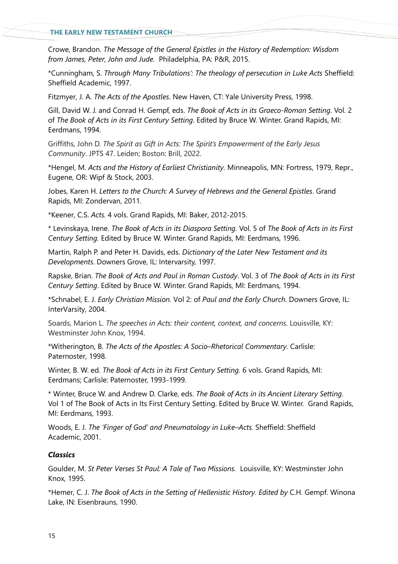#### **THE EARLY NEW TESTAMENT CHURCH**

Crowe, Brandon. *The Message of the General Epistles in the History of Redemption: Wisdom from James, Peter, John and Jude.* Philadelphia, PA: P&R, 2015.

\*Cunningham, S. *Through Many Tribulations': The theology of persecution in Luke Acts* Sheffield: Sheffield Academic, 1997.

Fitzmyer, J. A. *The Acts of the Apostles*. New Haven, CT: Yale University Press, 1998.

Gill, David W. J. and Conrad H. Gempf, eds. *The Book of Acts in its Graeco-Roman Setting*. Vol. 2 of *The Book of Acts in its First Century Setting*. Edited by Bruce W. Winter. Grand Rapids, MI: Eerdmans, 1994.

Griffiths, John D. *The Spirit as Gift in Acts: The Spirit's Empowerment of the Early Jesus Community*. JPTS 47. Leiden; Boston: Brill, 2022.

\*Hengel, M. *Acts and the History of Earliest Christianity.* Minneapolis, MN: Fortress, 1979, Repr., Eugene, OR: Wipf & Stock, 2003.

Jobes, Karen H. *Letters to the Church: A Survey of Hebrews and the General Epistles*. Grand Rapids, MI: Zondervan, 2011.

\*Keener, C.S. *Acts.* 4 vols. Grand Rapids, MI: Baker, 2012-2015.

\* Levinskaya, Irene. *The Book of Acts in its Diaspora Setting.* Vol. 5 of *The Book of Acts in its First Century Setting.* Edited by Bruce W. Winter. Grand Rapids, MI: Eerdmans, 1996.

Martin, Ralph P. and Peter H. Davids, eds. *Dictionary of the Later New Testament and its Developments*. Downers Grove, IL: Intervarsity, 1997.

Rapske, Brian. *The Book of Acts and Paul in Roman Custody*. Vol. 3 of *The Book of Acts in its First Century Setting*. Edited by Bruce W. Winter. Grand Rapids, MI: Eerdmans, 1994.

\*Schnabel, E. J. *Early Christian Mission.* Vol 2: of *Paul and the Early Church.* Downers Grove, IL: InterVarsity, 2004.

Soards, Marion L. *The speeches in Acts: their content, context, and concerns*. Louisville, KY: Westminster John Knox, 1994.

\*Witherington, B. *The Acts of the Apostles: A Socio–Rhetorical Commentary*. Carlisle: Paternoster, 1998.

Winter, B. W. ed. *The Book of Acts in its First Century Setting.* 6 vols. Grand Rapids, MI: Eerdmans; Carlisle: Paternoster, 1993-1999.

\* Winter, Bruce W. and Andrew D. Clarke, eds. *The Book of Acts in its Ancient Literary Setting*. Vol 1 of The Book of Acts in Its First Century Setting. Edited by Bruce W. Winter. Grand Rapids, MI: Eerdmans, 1993.

Woods, E. J. *The 'Finger of God' and Pneumatology in Luke–Acts.* Sheffield: Sheffield Academic, 2001.

#### *Classics*

Goulder, M. *St Peter Verses St Paul: A Tale of Two Missions.* Louisville, KY: Westminster John Knox, 1995.

\*Hemer, C. J. *The Book of Acts in the Setting of Hellenistic History. Edited by* C.H. Gempf. Winona Lake, IN: Eisenbrauns, 1990.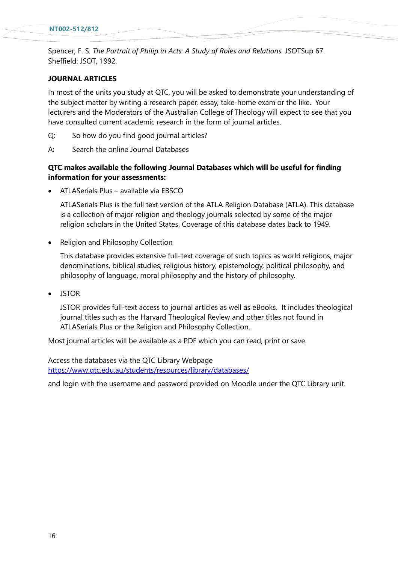Spencer, F. S. *The Portrait of Philip in Acts: A Study of Roles and Relations.* JSOTSup 67. Sheffield: JSOT, 1992.

#### **JOURNAL ARTICLES**

In most of the units you study at QTC, you will be asked to demonstrate your understanding of the subject matter by writing a research paper, essay, take-home exam or the like. Your lecturers and the Moderators of the Australian College of Theology will expect to see that you have consulted current academic research in the form of journal articles.

- Q: So how do you find good journal articles?
- A: Search the online Journal Databases

#### **QTC makes available the following Journal Databases which will be useful for finding information for your assessments:**

• ATLASerials Plus – available via EBSCO

ATLASerials Plus is the full text version of the ATLA Religion Database (ATLA). This database is a collection of major religion and theology journals selected by some of the major religion scholars in the United States. Coverage of this database dates back to 1949.

• Religion and Philosophy Collection

This database provides extensive full-text coverage of such topics as world religions, major denominations, biblical studies, religious history, epistemology, political philosophy, and philosophy of language, moral philosophy and the history of philosophy.

• JSTOR

JSTOR provides full-text access to journal articles as well as eBooks. It includes theological journal titles such as the Harvard Theological Review and other titles not found in ATLASerials Plus or the Religion and Philosophy Collection.

Most journal articles will be available as a PDF which you can read, print or save.

Access the databases via the QTC Library Webpage

<https://www.qtc.edu.au/students/resources/library/databases/>

and login with the username and password provided on Moodle under the QTC Library unit.